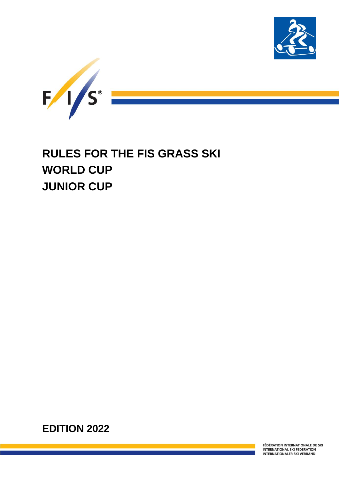



# **RULES FOR THE FIS GRASS SKI WORLD CUP JUNIOR CUP**

**EDITION 2022**

FÉDÉRATION INTERNATIONALE DE SKI INTERNATIONAL SKI FEDERATION<br>INTERNATIONALER SKI VERBAND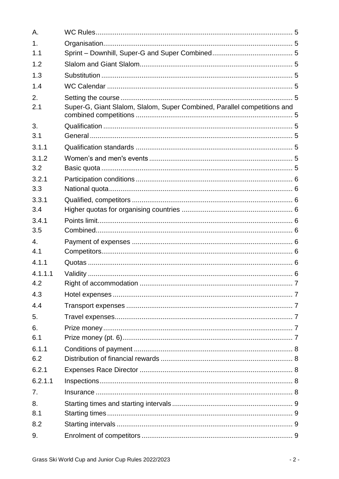| Α.             |                                                                          |  |
|----------------|--------------------------------------------------------------------------|--|
| 1 <sub>1</sub> |                                                                          |  |
| 1.1            |                                                                          |  |
| 1.2            |                                                                          |  |
| 1.3            |                                                                          |  |
| 1.4            |                                                                          |  |
| 2.             |                                                                          |  |
| 2.1            | Super-G, Giant Slalom, Slalom, Super Combined, Parallel competitions and |  |
| 3.             |                                                                          |  |
| 3.1            |                                                                          |  |
| 3.1.1          |                                                                          |  |
| 3.1.2          |                                                                          |  |
| 3.2            |                                                                          |  |
| 3.2.1          |                                                                          |  |
| 3.3            |                                                                          |  |
| 3.3.1          |                                                                          |  |
| 3.4            |                                                                          |  |
| 3.4.1          |                                                                          |  |
| 3.5            |                                                                          |  |
| 4.<br>4.1      |                                                                          |  |
|                |                                                                          |  |
| 4.1.1          |                                                                          |  |
| 4.1.1.1        |                                                                          |  |
| 4.2            |                                                                          |  |
| 4.3            |                                                                          |  |
| 4.4            |                                                                          |  |
| 5.             |                                                                          |  |
| 6.             |                                                                          |  |
| 6.1            |                                                                          |  |
| 6.1.1<br>6.2   |                                                                          |  |
|                |                                                                          |  |
| 6.2.1          |                                                                          |  |
| 6.2.1.1        |                                                                          |  |
| 7 <sub>1</sub> |                                                                          |  |
| 8.             |                                                                          |  |
| 8.1            |                                                                          |  |
| 8.2            |                                                                          |  |
| 9.             |                                                                          |  |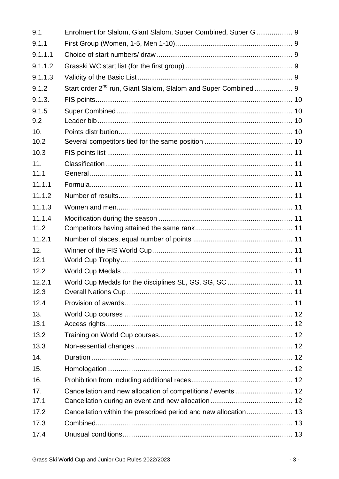| 9.1     | Enrolment for Slalom, Giant Slalom, Super Combined, Super G 9 |  |
|---------|---------------------------------------------------------------|--|
| 9.1.1   |                                                               |  |
| 9.1.1.1 |                                                               |  |
| 9.1.1.2 |                                                               |  |
| 9.1.1.3 |                                                               |  |
| 9.1.2   |                                                               |  |
| 9.1.3.  |                                                               |  |
| 9.1.5   |                                                               |  |
| 9.2     |                                                               |  |
| 10.     |                                                               |  |
| 10.2    |                                                               |  |
| 10.3    |                                                               |  |
| 11.     |                                                               |  |
| 11.1    |                                                               |  |
| 11.1.1  |                                                               |  |
| 11.1.2  |                                                               |  |
| 11.1.3  |                                                               |  |
| 11.1.4  |                                                               |  |
| 11.2    |                                                               |  |
| 11.2.1  |                                                               |  |
| 12.     |                                                               |  |
| 12.1    |                                                               |  |
| 12.2    |                                                               |  |
| 12.2.1  |                                                               |  |
| 12.3    |                                                               |  |
| 12.4    |                                                               |  |
| 13.     |                                                               |  |
| 13.1    |                                                               |  |
| 13.2    |                                                               |  |
| 13.3    |                                                               |  |
| 14.     |                                                               |  |
| 15.     |                                                               |  |
| 16.     |                                                               |  |
| 17.     | Cancellation and new allocation of competitions / events  12  |  |
| 17.1    |                                                               |  |
| 17.2    |                                                               |  |
| 17.3    |                                                               |  |
| 17.4    |                                                               |  |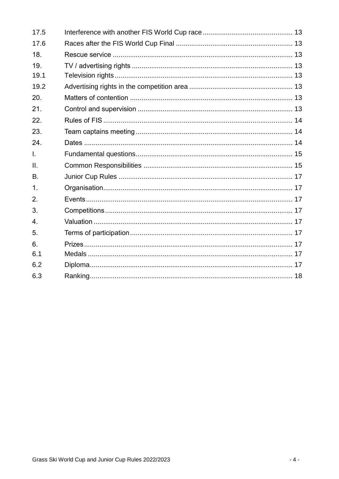| 17.5             |  |
|------------------|--|
| 17.6             |  |
| 18.              |  |
| 19.              |  |
| 19.1             |  |
| 19.2             |  |
| 20.              |  |
| 21.              |  |
| 22.              |  |
| 23.              |  |
| 24.              |  |
| T.               |  |
| $\mathbf{II}$ .  |  |
| <b>B.</b>        |  |
| 1 <sub>1</sub>   |  |
| 2.               |  |
| 3.               |  |
| $\overline{4}$ . |  |
| 5 <sub>1</sub>   |  |
| 6.               |  |
| 6.1              |  |
| 6.2              |  |
| 6.3              |  |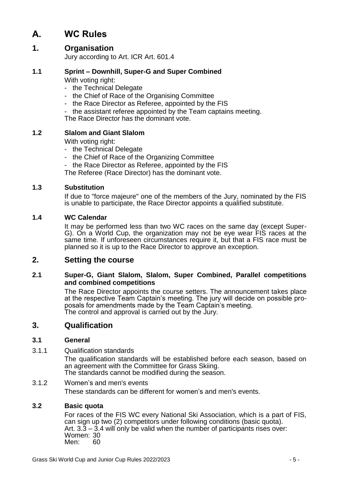# **A. WC Rules**

## **1. Organisation**

Jury according to Art. ICR Art. 601.4

## **1.1 Sprint – Downhill, Super-G and Super Combined**

With voting right:

- the Technical Delegate
- the Chief of Race of the Organising Committee
- the Race Director as Referee, appointed by the FIS
- the assistant referee appointed by the Team captains meeting.

The Race Director has the dominant vote.

## **1.2 Slalom and Giant Slalom**

With voting right:

- the Technical Delegate
- the Chief of Race of the Organizing Committee
- the Race Director as Referee, appointed by the FIS

The Referee (Race Director) has the dominant vote.

## **1.3 Substitution**

If due to "force majeure" one of the members of the Jury, nominated by the FIS is unable to participate, the Race Director appoints a qualified substitute.

#### **1.4 WC Calendar**

It may be performed less than two WC races on the same day (except Super-G). On a World Cup, the organization may not be eye wear FIS races at the same time. If unforeseen circumstances require it, but that a FIS race must be planned so it is up to the Race Director to approve an exception.

## **2. Setting the course**

## **2.1 Super-G, Giant Slalom, Slalom, Super Combined, Parallel competitions and combined competitions**

The Race Director appoints the course setters. The announcement takes place at the respective Team Captain's meeting. The jury will decide on possible proposals for amendments made by the Team Captain's meeting. The control and approval is carried out by the Jury.

## **3. Qualification**

## **3.1 General**

3.1.1 Qualification standards

The qualification standards will be established before each season, based on an agreement with the Committee for Grass Skiing. The standards cannot be modified during the season.

## 3.1.2 Women's and men's events

These standards can be different for women's and men's events.

## **3.2 Basic quota**

For races of the FIS WC every National Ski Association, which is a part of FIS, can sign up two (2) competitors under following conditions (basic quota). Art.  $3.\overline{3} - 3.4$  will only be valid when the number of participants rises over: Women: 30 Men: 60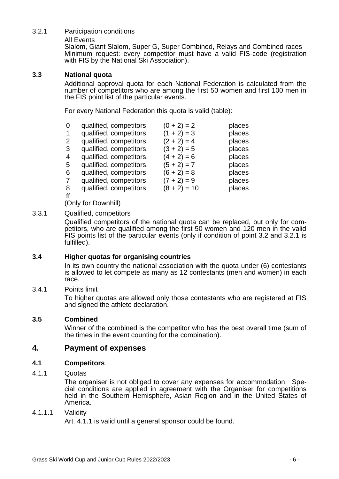## 3.2.1 Participation conditions

#### All Events

Slalom, Giant Slalom, Super G, Super Combined, Relays and Combined races Minimum request: every competitor must have a valid FIS-code (registration with FIS by the National Ski Association).

#### **3.3 National quota**

Additional approval quota for each National Federation is calculated from the number of competitors who are among the first 50 women and first 100 men in the FIS point list of the particular events.

For every National Federation this quota is valid (table):

| 0              | qualified, competitors, | $(0 + 2) = 2$  | places |
|----------------|-------------------------|----------------|--------|
| 1              | qualified, competitors, | $(1 + 2) = 3$  | places |
| $\overline{2}$ | qualified, competitors, | $(2 + 2) = 4$  | places |
| 3              | qualified, competitors, | $(3 + 2) = 5$  | places |
| 4              | qualified, competitors, | $(4 + 2) = 6$  | places |
| 5              | qualified, competitors, | $(5 + 2) = 7$  | places |
| 6              | qualified, competitors, | $(6 + 2) = 8$  | places |
| 7              | qualified, competitors, | $(7 + 2) = 9$  | places |
| 8              | qualified, competitors, | $(8 + 2) = 10$ | places |
| ff             |                         |                |        |

(Only for Downhill)

## 3.3.1 Qualified, competitors

Qualified competitors of the national quota can be replaced, but only for competitors, who are qualified among the first 50 women and 120 men in the valid FIS points list of the particular events (only if condition of point 3.2 and 3.2.1 is fulfilled).

## **3.4 Higher quotas for organising countries**

In its own country the national association with the quota under (6) contestants is allowed to let compete as many as 12 contestants (men and women) in each race.

## 3.4.1 Points limit

To higher quotas are allowed only those contestants who are registered at FIS and signed the athlete declaration.

## **3.5 Combined**

Winner of the combined is the competitor who has the best overall time (sum of the times in the event counting for the combination).

## **4. Payment of expenses**

## **4.1 Competitors**

#### 4.1.1 Quotas

The organiser is not obliged to cover any expenses for accommodation. Special conditions are applied in agreement with the Organiser for competitions held in the Southern Hemisphere, Asian Region and in the United States of America.

#### 4.1.1.1 Validity

Art. 4.1.1 is valid until a general sponsor could be found.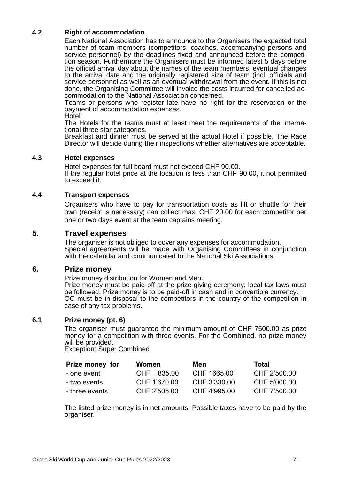## **4.2 Right of accommodation**

Each National Association has to announce to the Organisers the expected total number of team members (competitors, coaches, accompanying persons and service personnel) by the deadlines fixed and announced before the competition season. Furthermore the Organisers must be informed latest 5 days before the official arrival day about the names of the team members, eventual changes to the arrival date and the originally registered size of team (incl. officials and service personnel as well as an eventual withdrawal from the event. If this is not done, the Organising Committee will invoice the costs incurred for cancelled accommodation to the National Association concerned.

Teams or persons who register late have no right for the reservation or the payment of accommodation expenses.

Hotel:

The Hotels for the teams must at least meet the requirements of the international three star categories.

Breakfast and dinner must be served at the actual Hotel if possible. The Race Director will decide during their inspections whether alternatives are acceptable.

#### **4.3 Hotel expenses**

Hotel expenses for full board must not exceed CHF 90.00. If the regular hotel price at the location is less than CHF 90.00, it not permitted to exceed it.

#### **4.4 Transport expenses**

Organisers who have to pay for transportation costs as lift or shuttle for their own (receipt is necessary) can collect max. CHF 20.00 for each competitor per one or two days event at the team captains meeting.

## **5. Travel expenses**

The organiser is not obliged to cover any expenses for accommodation. Special agreements will be made with Organising Committees in conjunction with the calendar and communicated to the National Ski Associations.

## **6. Prize money**

Prize money distribution for Women and Men.

Prize money must be paid-off at the prize giving ceremony; local tax laws must be followed. Prize money is to be paid-off in cash and in convertible currency. OC must be in disposal to the competitors in the country of the competition in case of any tax problems.

#### **6.1 Prize money (pt. 6)**

The organiser must guarantee the minimum amount of CHF 7500.00 as prize money for a competition with three events. For the Combined, no prize money will be provided.

Exception: Super Combined

| Prize money for | Women        | Men          | Total        |
|-----------------|--------------|--------------|--------------|
| - one event     | CHF 835.00   | CHF 1665.00  | CHF 2'500.00 |
| - two events    | CHF 1'670.00 | CHF 3'330.00 | CHF 5'000.00 |
| - three events  | CHF 2'505.00 | CHF 4'995.00 | CHF 7'500.00 |

The listed prize money is in net amounts. Possible taxes have to be paid by the organiser.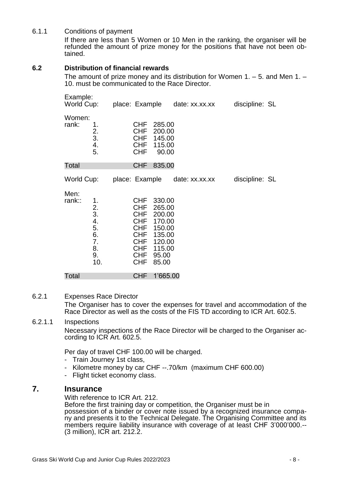#### 6.1.1 Conditions of payment

If there are less than 5 Women or 10 Men in the ranking, the organiser will be refunded the amount of prize money for the positions that have not been obtained.

## **6.2 Distribution of financial rewards**

The amount of prize money and its distribution for Women 1. – 5. and Men 1. – 10. must be communicated to the Race Director.

| Example:<br>World Cup: |                                                                  | place: Example                                                                                                                           |                                                                                                | date: xx.xx.xx | discipline: SL |  |
|------------------------|------------------------------------------------------------------|------------------------------------------------------------------------------------------------------------------------------------------|------------------------------------------------------------------------------------------------|----------------|----------------|--|
| Women:<br>rank:        | 1.<br>$\frac{2}{3}$ .<br>4.<br>5.                                | <b>CHF</b><br><b>CHF</b><br><b>CHF</b><br><b>CHF</b><br><b>CHF</b>                                                                       | 285.00<br>200.00<br>145.00<br>115.00<br>90.00                                                  |                |                |  |
| Total                  |                                                                  | <b>CHF</b>                                                                                                                               | 835.00                                                                                         |                |                |  |
| World Cup:             |                                                                  | place: Example                                                                                                                           |                                                                                                | date: xx.xx.xx | discipline: SL |  |
| Men:<br>rank::         | 1.<br>$\frac{2}{3}$ .<br>4.<br>5.<br>6.<br>7.<br>8.<br>9.<br>10. | <b>CHF</b><br><b>CHF</b><br><b>CHF</b><br><b>CHF</b><br><b>CHF</b><br><b>CHF</b><br><b>CHF</b><br><b>CHF</b><br><b>CHF</b><br><b>CHF</b> | 330.00<br>265.00<br>200.00<br>170.00<br>150.00<br>135.00<br>120.00<br>115.00<br>95.00<br>85.00 |                |                |  |
| Total                  |                                                                  | <b>CHF</b>                                                                                                                               | 1'665.00                                                                                       |                |                |  |

#### 6.2.1 Expenses Race Director

The Organiser has to cover the expenses for travel and accommodation of the Race Director as well as the costs of the FIS TD according to ICR Art. 602.5.

#### 6.2.1.1 Inspections

Necessary inspections of the Race Director will be charged to the Organiser according to ICR Art. 602.5.

Per day of travel CHF 100.00 will be charged.

- Train Journey 1st class,
- Kilometre money by car CHF --.70/km (maximum CHF 600.00)
- Flight ticket economy class.

## **7. Insurance**

With reference to ICR Art. 212.

Before the first training day or competition, the Organiser must be in possession of a binder or cover note issued by a recognized insurance company and presents it to the Technical Delegate. The Organising Committee and its members require liability insurance with coverage of at least CHF 3'000'000.-- (3 million), ICR art. 212.2.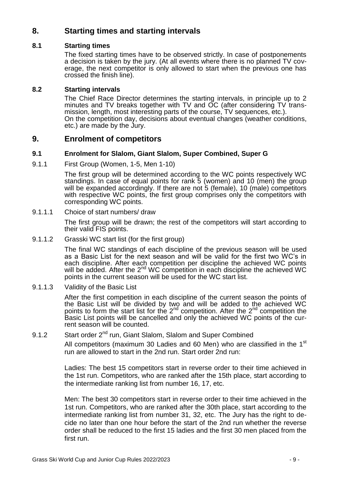## **8. Starting times and starting intervals**

## **8.1 Starting times**

The fixed starting times have to be observed strictly. In case of postponements a decision is taken by the jury. (At all events where there is no planned TV coverage, the next competitor is only allowed to start when the previous one has crossed the finish line).

## **8.2 Starting intervals**

The Chief Race Director determines the starting intervals, in principle up to 2 minutes and TV breaks together with TV and OC (after considering TV transmission, length, most interesting parts of the course, TV sequences, etc.). On the competition day, decisions about eventual changes (weather conditions, etc.) are made by the Jury.

## **9. Enrolment of competitors**

## **9.1 Enrolment for Slalom, Giant Slalom, Super Combined, Super G**

9.1.1 First Group (Women, 1-5, Men 1-10)

The first group will be determined according to the WC points respectively WC standings. In case of equal points for rank 5 (women) and 10 (men) the group will be expanded accordingly. If there are not 5 (female), 10 (male) competitors with respective WC points, the first group comprises only the competitors with corresponding WC points.

9.1.1.1 Choice of start numbers/ draw

The first group will be drawn; the rest of the competitors will start according to their valid FIS points.

9.1.1.2 Grasski WC start list (for the first group)

The final WC standings of each discipline of the previous season will be used as a Basic List for the next season and will be valid for the first two WC's in each discipline. After each competition per discipline the achieved WC points will be added. After the 2<sup>nd</sup> WC competition in each discipline the achieved WC points in the current season will be used for the WC start list.

9.1.1.3 Validity of the Basic List

After the first competition in each discipline of the current season the points of the Basic List will be divided by two and will be added to the achieved WC points to form the start list for the  $2<sup>nd</sup>$  competition. After the  $2<sup>nd</sup>$  competition the Basic List points will be cancelled and only the achieved WC points of the current season will be counted.

## 9.1.2 Start order 2<sup>nd</sup> run, Giant Slalom, Slalom and Super Combined

All competitors (maximum 30 Ladies and 60 Men) who are classified in the 1<sup>st</sup> run are allowed to start in the 2nd run. Start order 2nd run:

Ladies: The best 15 competitors start in reverse order to their time achieved in the 1st run. Competitors, who are ranked after the 15th place, start according to the intermediate ranking list from number 16, 17, etc.

Men: The best 30 competitors start in reverse order to their time achieved in the 1st run. Competitors, who are ranked after the 30th place, start according to the intermediate ranking list from number 31, 32, etc. The Jury has the right to decide no later than one hour before the start of the 2nd run whether the reverse order shall be reduced to the first 15 ladies and the first 30 men placed from the first run.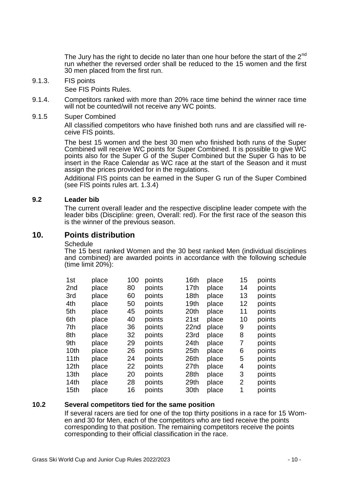The Jury has the right to decide no later than one hour before the start of the 2<sup>nd</sup> run whether the reversed order shall be reduced to the 15 women and the first 30 men placed from the first run.

9.1.3. FIS points

See FIS Points Rules.

- 9.1.4. Competitors ranked with more than 20% race time behind the winner race time will not be counted/will not receive any WC points.
- 9.1.5 Super Combined

All classified competitors who have finished both runs and are classified will receive FIS points.

The best 15 women and the best 30 men who finished both runs of the Super Combined will receive WC points for Super Combined. It is possible to give WC points also for the Super G of the Super Combined but the Super G has to be insert in the Race Calendar as WC race at the start of the Season and it must assign the prices provided for in the regulations.

Additional FIS points can be earned in the Super G run of the Super Combined (see FIS points rules art. 1.3.4)

#### **9.2 Leader bib**

The current overall leader and the respective discipline leader compete with the leader bibs (Discipline: green, Overall: red). For the first race of the season this is the winner of the previous season.

## **10. Points distribution**

#### **Schedule**

The 15 best ranked Women and the 30 best ranked Men (individual disciplines and combined) are awarded points in accordance with the following schedule (time limit 20%):

| 1st              | place | 100 | points | 16th             | place | 15             | points |
|------------------|-------|-----|--------|------------------|-------|----------------|--------|
| 2 <sub>nd</sub>  | place | 80  | points | 17th             | place | 14             | points |
| 3rd              | place | 60  | points | 18 <sub>th</sub> | place | 13             | points |
| 4th              | place | 50  | points | 19 <sub>th</sub> | place | 12             | points |
| 5th              | place | 45  | points | 20th             | place | 11             | points |
| 6th              | place | 40  | points | 21st             | place | 10             | points |
| 7th              | place | 36  | points | 22nd             | place | 9              | points |
| 8th              | place | 32  | points | 23rd             | place | 8              | points |
| 9th              | place | 29  | points | 24th             | place | 7              | points |
| 10th             | place | 26  | points | 25th             | place | 6              | points |
| 11th             | place | 24  | points | 26th             | place | 5              | points |
| 12 <sub>th</sub> | place | 22  | points | 27th             | place | 4              | points |
| 13 <sub>th</sub> | place | 20  | points | 28th             | place | 3              | points |
| 14th             | place | 28  | points | 29th             | place | $\overline{2}$ | points |
| 15th             | place | 16  | points | 30th             | place | 1              | points |
|                  |       |     |        |                  |       |                |        |

#### **10.2 Several competitors tied for the same position**

If several racers are tied for one of the top thirty positions in a race for 15 Women and 30 for Men, each of the competitors who are tied receive the points corresponding to that position. The remaining competitors receive the points corresponding to their official classification in the race.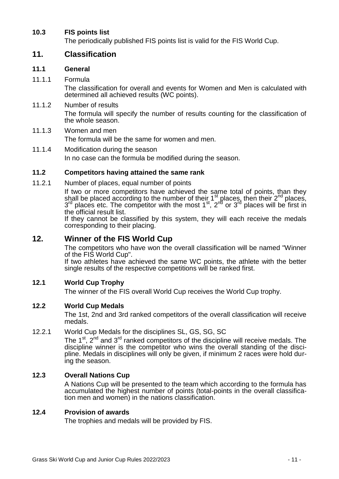## **10.3 FIS points list**

The periodically published FIS points list is valid for the FIS World Cup.

## **11. Classification**

## **11.1 General**

## 11.1.1 Formula

The classification for overall and events for Women and Men is calculated with determined all achieved results (WC points).

- 11.1.2 Number of results The formula will specify the number of results counting for the classification of the whole season.
- 11.1.3 Women and men The formula will be the same for women and men.
- 11.1.4 Modification during the season In no case can the formula be modified during the season.

## **11.2 Competitors having attained the same rank**

11.2.1 Number of places, equal number of points

If two or more competitors have achieved the same total of points, than they shall be placed according to the number of their  $1<sup>st</sup>$  places, then their  $2<sup>nd</sup>$  places,  $3<sup>rd</sup>$  places etc. The competitor with the most  $1<sup>st</sup>$ ,  $2<sup>nd</sup>$  or  $3<sup>rd</sup>$  places will be first in the official result list.

If they cannot be classified by this system, they will each receive the medals corresponding to their placing.

## **12. Winner of the FIS World Cup**

The competitors who have won the overall classification will be named "Winner of the FIS World Cup".

If two athletes have achieved the same WC points, the athlete with the better single results of the respective competitions will be ranked first.

## **12.1 World Cup Trophy**

The winner of the FIS overall World Cup receives the World Cup trophy.

## **12.2 World Cup Medals**

The 1st, 2nd and 3rd ranked competitors of the overall classification will receive medals.

## 12.2.1 World Cup Medals for the disciplines SL, GS, SG, SC

The  $1<sup>st</sup>$ ,  $2<sup>nd</sup>$  and  $3<sup>rd</sup>$  ranked competitors of the discipline will receive medals. The discipline winner is the competitor who wins the overall standing of the discipline. Medals in disciplines will only be given, if minimum 2 races were hold during the season.

## **12.3 Overall Nations Cup**

A Nations Cup will be presented to the team which according to the formula has accumulated the highest number of points (total-points in the overall classification men and women) in the nations classification.

## **12.4 Provision of awards**

The trophies and medals will be provided by FIS.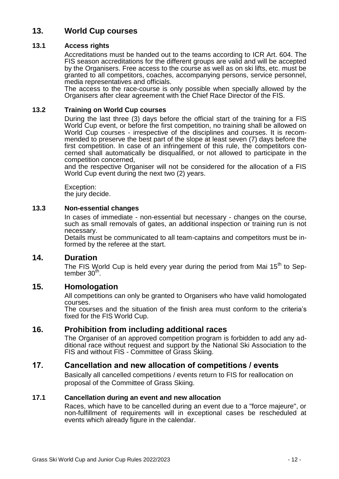## **13. World Cup courses**

## **13.1 Access rights**

Accreditations must be handed out to the teams according to ICR Art. 604. The FIS season accreditations for the different groups are valid and will be accepted by the Organisers. Free access to the course as well as on ski lifts, etc. must be granted to all competitors, coaches, accompanying persons, service personnel, media representatives and officials.

The access to the race-course is only possible when specially allowed by the Organisers after clear agreement with the Chief Race Director of the FIS.

#### **13.2 Training on World Cup courses**

During the last three (3) days before the official start of the training for a FIS World Cup event, or before the first competition, no training shall be allowed on World Cup courses - irrespective of the disciplines and courses. It is recommended to preserve the best part of the slope at least seven (7) days before the first competition. In case of an infringement of this rule, the competitors concerned shall automatically be disqualified, or not allowed to participate in the competition concerned,

and the respective Organiser will not be considered for the allocation of a FIS World Cup event during the next two (2) years.

Exception: the jury decide.

## **13.3 Non-essential changes**

In cases of immediate - non-essential but necessary - changes on the course, such as small removals of gates, an additional inspection or training run is not necessary.

Details must be communicated to all team-captains and competitors must be informed by the referee at the start.

## **14. Duration**

The FIS World Cup is held every year during the period from Mai  $15<sup>th</sup>$  to September 30<sup>th</sup> .

## **15. Homologation**

All competitions can only be granted to Organisers who have valid homologated courses.

The courses and the situation of the finish area must conform to the criteria's fixed for the FIS World Cup.

## **16. Prohibition from including additional races**

The Organiser of an approved competition program is forbidden to add any additional race without request and support by the National Ski Association to the FIS and without FIS - Committee of Grass Skiing.

## **17. Cancellation and new allocation of competitions / events**

Basically all cancelled competitions / events return to FIS for reallocation on proposal of the Committee of Grass Skiing.

#### **17.1 Cancellation during an event and new allocation**

Races, which have to be cancelled during an event due to a "force majeure", or non-fulfillment of requirements will in exceptional cases be rescheduled at events which already figure in the calendar.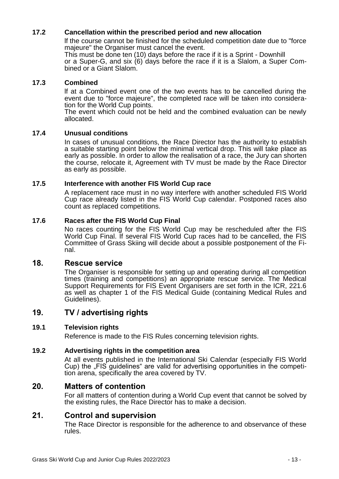## **17.2 Cancellation within the prescribed period and new allocation**

lf the course cannot be finished for the scheduled competition date due to "force majeure" the Organiser must cancel the event.

This must be done ten (10) days before the race if it is a Sprint - Downhill or a Super-G, and six  $(6)$  days before the race if it is a Slalom, a Super Combined or a Giant Slalom.

#### **17.3 Combined**

lf at a Combined event one of the two events has to be cancelled during the event due to "force majeure", the completed race will be taken into consideration for the World Cup points.

The event which could not be held and the combined evaluation can be newly allocated.

#### **17.4 Unusual conditions**

In cases of unusual conditions, the Race Director has the authority to establish a suitable starting point below the minimal vertical drop. This will take place as early as possible. In order to allow the realisation of a race, the Jury can shorten the course, relocate it, Agreement with TV must be made by the Race Director as early as possible.

## **17.5 Interference with another FIS World Cup race**

A replacement race must in no way interfere with another scheduled FIS World Cup race already listed in the FIS World Cup calendar. Postponed races also count as replaced competitions.

#### **17.6 Races after the FIS World Cup Final**

No races counting for the FIS World Cup may be rescheduled after the FIS World Cup Final. If several FIS World Cup races had to be cancelled, the FIS Committee of Grass Skiing will decide about a possible postponement of the Final.

## **18. Rescue service**

The Organiser is responsible for setting up and operating during all competition times (training and competitions) an appropriate rescue service. The Medical Support Requirements for FIS Event Organisers are set forth in the ICR, 221.6 as well as chapter 1 of the FIS Medical Guide (containing Medical Rules and Guidelines).

## **19. TV / advertising rights**

#### **19.1 Television rights**

Reference is made to the FIS Rules concerning television rights.

#### **19.2 Advertising rights in the competition area**

At all events published in the International Ski Calendar (especially FIS World Cup) the "FIS guidelines" are valid for advertising opportunities in the competition arena, specifically the area covered by TV.

## **20. Matters of contention**

For all matters of contention during a World Cup event that cannot be solved by the existing rules, the Race Director has to make a decision.

## **21. Control and supervision**

The Race Director is responsible for the adherence to and observance of these rules.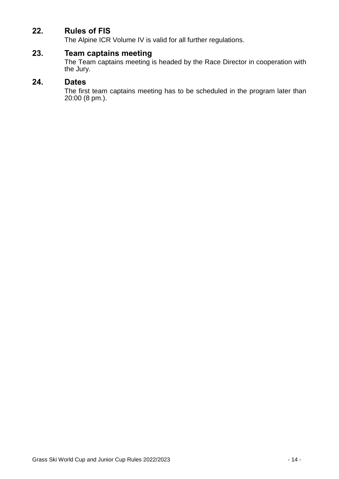## **22. Rules of FIS**

The Alpine ICR Volume IV is valid for all further regulations.

## **23. Team captains meeting**

The Team captains meeting is headed by the Race Director in cooperation with the Jury.

## **24. Dates**

The first team captains meeting has to be scheduled in the program later than 20:00 (8 pm.).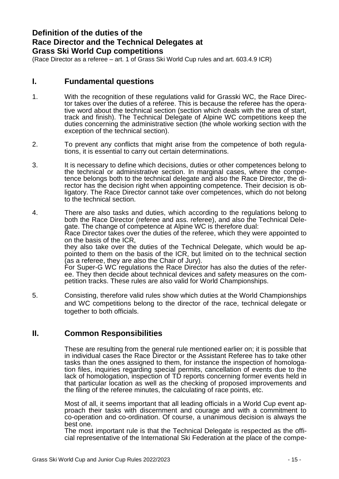## **Definition of the duties of the Race Director and the Technical Delegates at Grass Ski World Cup competitions**

(Race Director as a referee – art. 1 of Grass Ski World Cup rules and art. 603.4.9 ICR)

## **I. Fundamental questions**

- 1. With the recognition of these regulations valid for Grasski WC, the Race Director takes over the duties of a referee. This is because the referee has the operative word about the technical section (section which deals with the area of start, track and finish). The Technical Delegate of Alpine WC competitions keep the duties concerning the administrative section (the whole working section with the exception of the technical section).
- 2. To prevent any conflicts that might arise from the competence of both regulations, it is essential to carry out certain determinations.
- 3. It is necessary to define which decisions, duties or other competences belong to the technical or administrative section. In marginal cases, where the competence belongs both to the technical delegate and also the Race Director, the director has the decision right when appointing competence. Their decision is obligatory. The Race Director cannot take over competences, which do not belong to the technical section.
- 4. There are also tasks and duties, which according to the regulations belong to both the Race Director (referee and ass. referee), and also the Technical Delegate. The change of competence at Alpine WC is therefore dual: Race Director takes over the duties of the referee, which they were appointed to on the basis of the ICR, they also take over the duties of the Technical Delegate, which would be appointed to them on the basis of the ICR, but limited on to the technical section (as a referee, they are also the Chair of Jury). For Super-G WC regulations the Race Director has also the duties of the referee. They then decide about technical devices and safety measures on the competition tracks. These rules are also valid for World Championships.
- 5. Consisting, therefore valid rules show which duties at the World Championships and WC competitions belong to the director of the race, technical delegate or together to both officials.

## **II. Common Responsibilities**

These are resulting from the general rule mentioned earlier on; it is possible that in individual cases the Race Director or the Assistant Referee has to take other tasks than the ones assigned to them, for instance the inspection of homologation files, inquiries regarding special permits, cancellation of events due to the lack of homologation, inspection of TD reports concerning former events held in that particular location as well as the checking of proposed improvements and the filing of the referee minutes, the calculating of race points, etc.

Most of all, it seems important that all leading officials in a World Cup event approach their tasks with discernment and courage and with a commitment to co-operation and co-ordination. Of course, a unanimous decision is always the best one.

The most important rule is that the Technical Delegate is respected as the official representative of the International Ski Federation at the place of the compe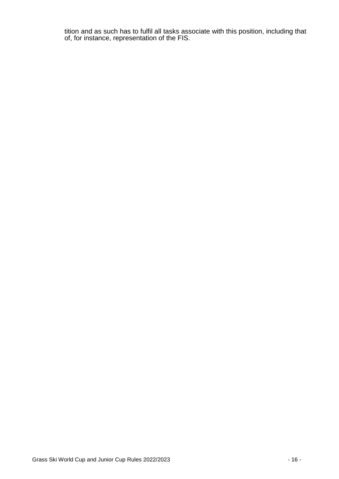tition and as such has to fulfil all tasks associate with this position, including that of, for instance, representation of the FIS.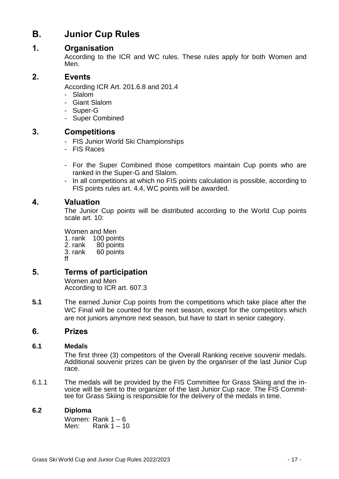# **B. Junior Cup Rules**

## **1. Organisation**

According to the ICR and WC rules. These rules apply for both Women and Men.

## **2. Events**

According ICR Art. 201.6.8 and 201.4

- Slalom
- Giant Slalom
- Super-G
- Super Combined

## **3. Competitions**

- FIS Junior World Ski Championships
- FIS Races
- For the Super Combined those competitors maintain Cup points who are ranked in the Super-G and Slalom.
- In all competitions at which no FIS points calculation is possible, according to FIS points rules art. 4.4, WC points will be awarded.

## **4. Valuation**

The Junior Cup points will be distributed according to the World Cup points scale art. 10:

Women and Men

1. rank 100 points<br>2. rank 80 points 2. rank 80 points<br>3. rank 60 points 60 points ff

## **5. Terms of participation**

Women and Men According to ICR art. 607.3

**5.1** The earned Junior Cup points from the competitions which take place after the WC Final will be counted for the next season, except for the competitors which are not juniors anymore next season, but have to start in senior category.

## **6. Prizes**

## **6.1 Medals**

The first three (3) competitors of the Overall Ranking receive souvenir medals. Additional souvenir prizes can be given by the organiser of the last Junior Cup race.

6.1.1 The medals will be provided by the FIS Committee for Grass Skiing and the invoice will be sent to the organizer of the last Junior Cup race. The FIS Committee for Grass Skiing is responsible for the delivery of the medals in time.

## **6.2 Diploma**

Women: Rank 1 – 6<br>Men: Rank 1 – 1 Rank  $1 - 10$